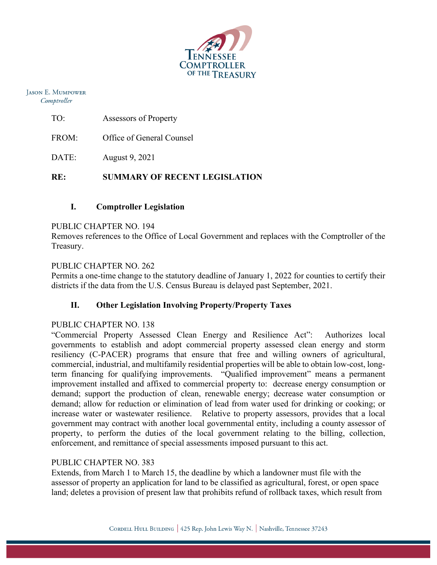

**JASON E. MUMPOWER** Comptroller

| TO: | Assessors of Property |
|-----|-----------------------|
|     |                       |

FROM: Office of General Counsel

DATE: August 9, 2021

# **RE: SUMMARY OF RECENT LEGISLATION**

## **I. Comptroller Legislation**

#### PUBLIC CHAPTER NO. 194

Removes references to the Office of Local Government and replaces with the Comptroller of the Treasury.

### PUBLIC CHAPTER NO. 262

Permits a one-time change to the statutory deadline of January 1, 2022 for counties to certify their districts if the data from the U.S. Census Bureau is delayed past September, 2021.

### **II. Other Legislation Involving Property/Property Taxes**

### PUBLIC CHAPTER NO. 138

"Commercial Property Assessed Clean Energy and Resilience Act": Authorizes local governments to establish and adopt commercial property assessed clean energy and storm resiliency (C-PACER) programs that ensure that free and willing owners of agricultural, commercial, industrial, and multifamily residential properties will be able to obtain low-cost, longterm financing for qualifying improvements. "Qualified improvement" means a permanent improvement installed and affixed to commercial property to: decrease energy consumption or demand; support the production of clean, renewable energy; decrease water consumption or demand; allow for reduction or elimination of lead from water used for drinking or cooking; or increase water or wastewater resilience. Relative to property assessors, provides that a local government may contract with another local governmental entity, including a county assessor of property, to perform the duties of the local government relating to the billing, collection, enforcement, and remittance of special assessments imposed pursuant to this act.

### PUBLIC CHAPTER NO. 383

Extends, from March 1 to March 15, the deadline by which a landowner must file with the assessor of property an application for land to be classified as agricultural, forest, or open space land; deletes a provision of present law that prohibits refund of rollback taxes, which result from